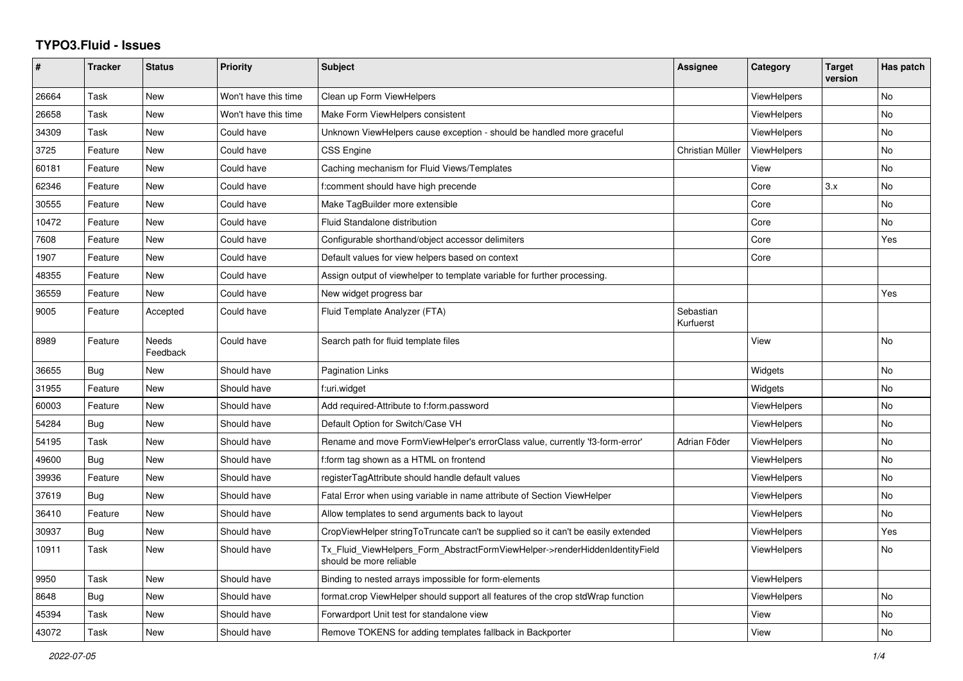## **TYPO3.Fluid - Issues**

| #     | Tracker    | <b>Status</b>     | <b>Priority</b>      | <b>Subject</b>                                                                                         | Assignee               | Category           | <b>Target</b><br>version | Has patch |
|-------|------------|-------------------|----------------------|--------------------------------------------------------------------------------------------------------|------------------------|--------------------|--------------------------|-----------|
| 26664 | Task       | <b>New</b>        | Won't have this time | Clean up Form ViewHelpers                                                                              |                        | ViewHelpers        |                          | <b>No</b> |
| 26658 | Task       | <b>New</b>        | Won't have this time | Make Form ViewHelpers consistent                                                                       |                        | <b>ViewHelpers</b> |                          | <b>No</b> |
| 34309 | Task       | <b>New</b>        | Could have           | Unknown ViewHelpers cause exception - should be handled more graceful                                  |                        | <b>ViewHelpers</b> |                          | <b>No</b> |
| 3725  | Feature    | <b>New</b>        | Could have           | CSS Engine                                                                                             | Christian Müller       | <b>ViewHelpers</b> |                          | No        |
| 60181 | Feature    | New               | Could have           | Caching mechanism for Fluid Views/Templates                                                            |                        | View               |                          | No        |
| 62346 | Feature    | <b>New</b>        | Could have           | f:comment should have high precende                                                                    |                        | Core               | 3.x                      | <b>No</b> |
| 30555 | Feature    | <b>New</b>        | Could have           | Make TagBuilder more extensible                                                                        |                        | Core               |                          | <b>No</b> |
| 10472 | Feature    | <b>New</b>        | Could have           | Fluid Standalone distribution                                                                          |                        | Core               |                          | <b>No</b> |
| 7608  | Feature    | New               | Could have           | Configurable shorthand/object accessor delimiters                                                      |                        | Core               |                          | Yes       |
| 1907  | Feature    | <b>New</b>        | Could have           | Default values for view helpers based on context                                                       |                        | Core               |                          |           |
| 48355 | Feature    | <b>New</b>        | Could have           | Assign output of viewhelper to template variable for further processing.                               |                        |                    |                          |           |
| 36559 | Feature    | <b>New</b>        | Could have           | New widget progress bar                                                                                |                        |                    |                          | Yes       |
| 9005  | Feature    | Accepted          | Could have           | Fluid Template Analyzer (FTA)                                                                          | Sebastian<br>Kurfuerst |                    |                          |           |
| 8989  | Feature    | Needs<br>Feedback | Could have           | Search path for fluid template files                                                                   |                        | View               |                          | No        |
| 36655 | Bug        | <b>New</b>        | Should have          | <b>Pagination Links</b>                                                                                |                        | Widgets            |                          | No.       |
| 31955 | Feature    | New               | Should have          | f:uri.widget                                                                                           |                        | Widgets            |                          | <b>No</b> |
| 60003 | Feature    | <b>New</b>        | Should have          | Add required-Attribute to f:form.password                                                              |                        | <b>ViewHelpers</b> |                          | No        |
| 54284 | Bug        | <b>New</b>        | Should have          | Default Option for Switch/Case VH                                                                      |                        | <b>ViewHelpers</b> |                          | No        |
| 54195 | Task       | New               | Should have          | Rename and move FormViewHelper's errorClass value, currently 'f3-form-error'                           | Adrian Föder           | <b>ViewHelpers</b> |                          | No        |
| 49600 | <b>Bug</b> | <b>New</b>        | Should have          | f:form tag shown as a HTML on frontend                                                                 |                        | ViewHelpers        |                          | <b>No</b> |
| 39936 | Feature    | New               | Should have          | registerTagAttribute should handle default values                                                      |                        | ViewHelpers        |                          | <b>No</b> |
| 37619 | Bug        | New               | Should have          | Fatal Error when using variable in name attribute of Section ViewHelper                                |                        | <b>ViewHelpers</b> |                          | No        |
| 36410 | Feature    | New               | Should have          | Allow templates to send arguments back to layout                                                       |                        | <b>ViewHelpers</b> |                          | No        |
| 30937 | Bug        | <b>New</b>        | Should have          | CropViewHelper stringToTruncate can't be supplied so it can't be easily extended                       |                        | ViewHelpers        |                          | Yes       |
| 10911 | Task       | New               | Should have          | Tx_Fluid_ViewHelpers_Form_AbstractFormViewHelper->renderHiddenIdentityField<br>should be more reliable |                        | <b>ViewHelpers</b> |                          | No        |
| 9950  | Task       | <b>New</b>        | Should have          | Binding to nested arrays impossible for form-elements                                                  |                        | <b>ViewHelpers</b> |                          |           |
| 8648  | Bug        | <b>New</b>        | Should have          | format.crop ViewHelper should support all features of the crop stdWrap function                        |                        | <b>ViewHelpers</b> |                          | No        |
| 45394 | Task       | <b>New</b>        | Should have          | Forwardport Unit test for standalone view                                                              |                        | View               |                          | No        |
| 43072 | Task       | New               | Should have          | Remove TOKENS for adding templates fallback in Backporter                                              |                        | View               |                          | <b>No</b> |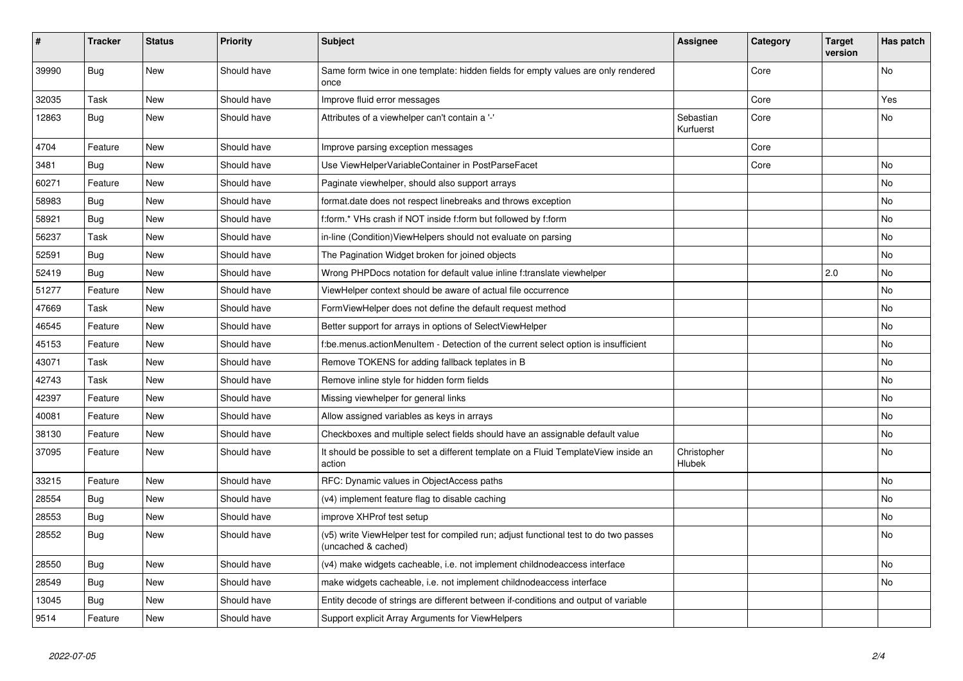| #     | <b>Tracker</b> | <b>Status</b> | <b>Priority</b> | <b>Subject</b>                                                                                              | <b>Assignee</b>        | Category | <b>Target</b><br>version | Has patch |
|-------|----------------|---------------|-----------------|-------------------------------------------------------------------------------------------------------------|------------------------|----------|--------------------------|-----------|
| 39990 | Bug            | <b>New</b>    | Should have     | Same form twice in one template: hidden fields for empty values are only rendered<br>once                   |                        | Core     |                          | <b>No</b> |
| 32035 | Task           | New           | Should have     | Improve fluid error messages                                                                                |                        | Core     |                          | Yes       |
| 12863 | Bug            | <b>New</b>    | Should have     | Attributes of a viewhelper can't contain a '-'                                                              | Sebastian<br>Kurfuerst | Core     |                          | <b>No</b> |
| 4704  | Feature        | New           | Should have     | Improve parsing exception messages                                                                          |                        | Core     |                          |           |
| 3481  | <b>Bug</b>     | New           | Should have     | Use ViewHelperVariableContainer in PostParseFacet                                                           |                        | Core     |                          | No        |
| 60271 | Feature        | <b>New</b>    | Should have     | Paginate viewhelper, should also support arrays                                                             |                        |          |                          | No        |
| 58983 | Bug            | <b>New</b>    | Should have     | format.date does not respect linebreaks and throws exception                                                |                        |          |                          | No        |
| 58921 | <b>Bug</b>     | New           | Should have     | f:form.* VHs crash if NOT inside f:form but followed by f:form                                              |                        |          |                          | No        |
| 56237 | Task           | <b>New</b>    | Should have     | in-line (Condition) ViewHelpers should not evaluate on parsing                                              |                        |          |                          | No        |
| 52591 | Bug            | <b>New</b>    | Should have     | The Pagination Widget broken for joined objects                                                             |                        |          |                          | No.       |
| 52419 | Bug            | New           | Should have     | Wrong PHPDocs notation for default value inline f:translate viewhelper                                      |                        |          | 2.0                      | No        |
| 51277 | Feature        | New           | Should have     | ViewHelper context should be aware of actual file occurrence                                                |                        |          |                          | No        |
| 47669 | Task           | <b>New</b>    | Should have     | FormViewHelper does not define the default request method                                                   |                        |          |                          | No        |
| 46545 | Feature        | New           | Should have     | Better support for arrays in options of SelectViewHelper                                                    |                        |          |                          | No        |
| 45153 | Feature        | New           | Should have     | f:be.menus.actionMenuItem - Detection of the current select option is insufficient                          |                        |          |                          | No        |
| 43071 | Task           | New           | Should have     | Remove TOKENS for adding fallback teplates in B                                                             |                        |          |                          | No        |
| 42743 | Task           | <b>New</b>    | Should have     | Remove inline style for hidden form fields                                                                  |                        |          |                          | No        |
| 42397 | Feature        | New           | Should have     | Missing viewhelper for general links                                                                        |                        |          |                          | No        |
| 40081 | Feature        | <b>New</b>    | Should have     | Allow assigned variables as keys in arrays                                                                  |                        |          |                          | No        |
| 38130 | Feature        | <b>New</b>    | Should have     | Checkboxes and multiple select fields should have an assignable default value                               |                        |          |                          | No        |
| 37095 | Feature        | New           | Should have     | It should be possible to set a different template on a Fluid TemplateView inside an<br>action               | Christopher<br>Hlubek  |          |                          | No        |
| 33215 | Feature        | <b>New</b>    | Should have     | RFC: Dynamic values in ObjectAccess paths                                                                   |                        |          |                          | No        |
| 28554 | Bug            | <b>New</b>    | Should have     | (v4) implement feature flag to disable caching                                                              |                        |          |                          | No        |
| 28553 | Bug            | <b>New</b>    | Should have     | improve XHProf test setup                                                                                   |                        |          |                          | No        |
| 28552 | Bug            | <b>New</b>    | Should have     | (v5) write ViewHelper test for compiled run; adjust functional test to do two passes<br>(uncached & cached) |                        |          |                          | No        |
| 28550 | Bug            | New           | Should have     | (v4) make widgets cacheable, i.e. not implement childnodeaccess interface                                   |                        |          |                          | No        |
| 28549 | Bug            | New           | Should have     | make widgets cacheable, i.e. not implement childnodeaccess interface                                        |                        |          |                          | No        |
| 13045 | Bug            | <b>New</b>    | Should have     | Entity decode of strings are different between if-conditions and output of variable                         |                        |          |                          |           |
| 9514  | Feature        | New           | Should have     | Support explicit Array Arguments for ViewHelpers                                                            |                        |          |                          |           |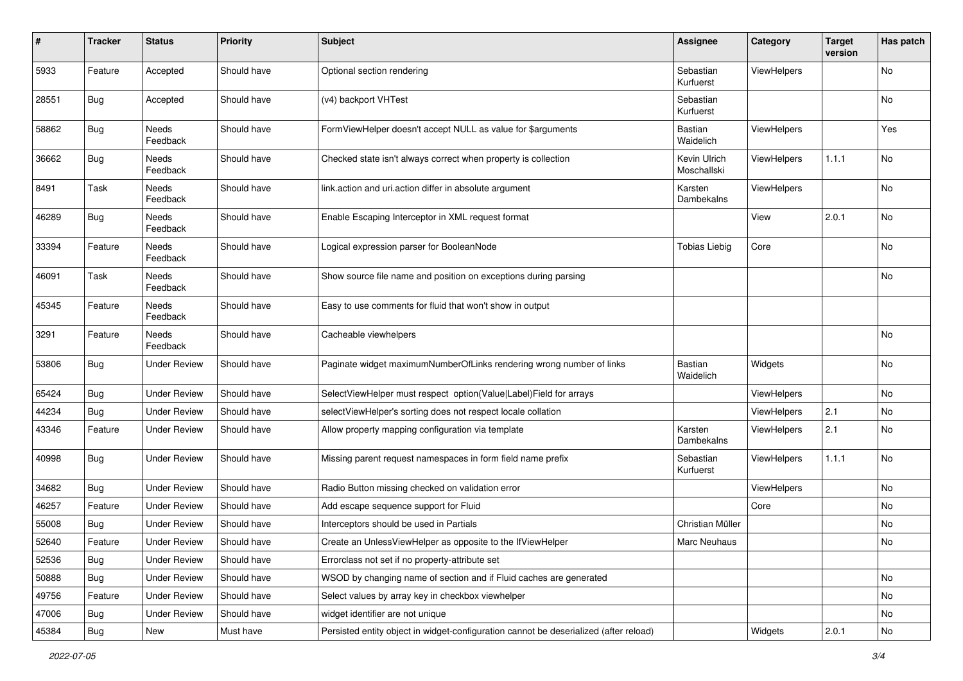| $\pmb{\#}$ | <b>Tracker</b> | <b>Status</b>       | <b>Priority</b> | <b>Subject</b>                                                                        | <b>Assignee</b>             | Category    | <b>Target</b><br>version | Has patch |
|------------|----------------|---------------------|-----------------|---------------------------------------------------------------------------------------|-----------------------------|-------------|--------------------------|-----------|
| 5933       | Feature        | Accepted            | Should have     | Optional section rendering                                                            | Sebastian<br>Kurfuerst      | ViewHelpers |                          | No        |
| 28551      | <b>Bug</b>     | Accepted            | Should have     | (v4) backport VHTest                                                                  | Sebastian<br>Kurfuerst      |             |                          | No        |
| 58862      | <b>Bug</b>     | Needs<br>Feedback   | Should have     | FormViewHelper doesn't accept NULL as value for \$arguments                           | Bastian<br>Waidelich        | ViewHelpers |                          | Yes       |
| 36662      | Bug            | Needs<br>Feedback   | Should have     | Checked state isn't always correct when property is collection                        | Kevin Ulrich<br>Moschallski | ViewHelpers | 1.1.1                    | No        |
| 8491       | Task           | Needs<br>Feedback   | Should have     | link.action and uri.action differ in absolute argument                                | Karsten<br>Dambekalns       | ViewHelpers |                          | No        |
| 46289      | Bug            | Needs<br>Feedback   | Should have     | Enable Escaping Interceptor in XML request format                                     |                             | View        | 2.0.1                    | No        |
| 33394      | Feature        | Needs<br>Feedback   | Should have     | Logical expression parser for BooleanNode                                             | <b>Tobias Liebig</b>        | Core        |                          | No        |
| 46091      | Task           | Needs<br>Feedback   | Should have     | Show source file name and position on exceptions during parsing                       |                             |             |                          | No        |
| 45345      | Feature        | Needs<br>Feedback   | Should have     | Easy to use comments for fluid that won't show in output                              |                             |             |                          |           |
| 3291       | Feature        | Needs<br>Feedback   | Should have     | Cacheable viewhelpers                                                                 |                             |             |                          | No        |
| 53806      | Bug            | <b>Under Review</b> | Should have     | Paginate widget maximumNumberOfLinks rendering wrong number of links                  | Bastian<br>Waidelich        | Widgets     |                          | No        |
| 65424      | Bug            | <b>Under Review</b> | Should have     | SelectViewHelper must respect option(Value Label)Field for arrays                     |                             | ViewHelpers |                          | No        |
| 44234      | Bug            | <b>Under Review</b> | Should have     | selectViewHelper's sorting does not respect locale collation                          |                             | ViewHelpers | 2.1                      | No        |
| 43346      | Feature        | <b>Under Review</b> | Should have     | Allow property mapping configuration via template                                     | Karsten<br>Dambekalns       | ViewHelpers | 2.1                      | No        |
| 40998      | Bug            | <b>Under Review</b> | Should have     | Missing parent request namespaces in form field name prefix                           | Sebastian<br>Kurfuerst      | ViewHelpers | 1.1.1                    | No        |
| 34682      | Bug            | <b>Under Review</b> | Should have     | Radio Button missing checked on validation error                                      |                             | ViewHelpers |                          | No        |
| 46257      | Feature        | <b>Under Review</b> | Should have     | Add escape sequence support for Fluid                                                 |                             | Core        |                          | No        |
| 55008      | Bug            | <b>Under Review</b> | Should have     | Interceptors should be used in Partials                                               | Christian Müller            |             |                          | No        |
| 52640      | Feature        | <b>Under Review</b> | Should have     | Create an UnlessViewHelper as opposite to the IfViewHelper                            | Marc Neuhaus                |             |                          | No        |
| 52536      | Bug            | <b>Under Review</b> | Should have     | Errorclass not set if no property-attribute set                                       |                             |             |                          |           |
| 50888      | <b>Bug</b>     | <b>Under Review</b> | Should have     | WSOD by changing name of section and if Fluid caches are generated                    |                             |             |                          | No        |
| 49756      | Feature        | <b>Under Review</b> | Should have     | Select values by array key in checkbox viewhelper                                     |                             |             |                          | No        |
| 47006      | Bug            | <b>Under Review</b> | Should have     | widget identifier are not unique                                                      |                             |             |                          | No        |
| 45384      | Bug            | New                 | Must have       | Persisted entity object in widget-configuration cannot be deserialized (after reload) |                             | Widgets     | 2.0.1                    | No        |